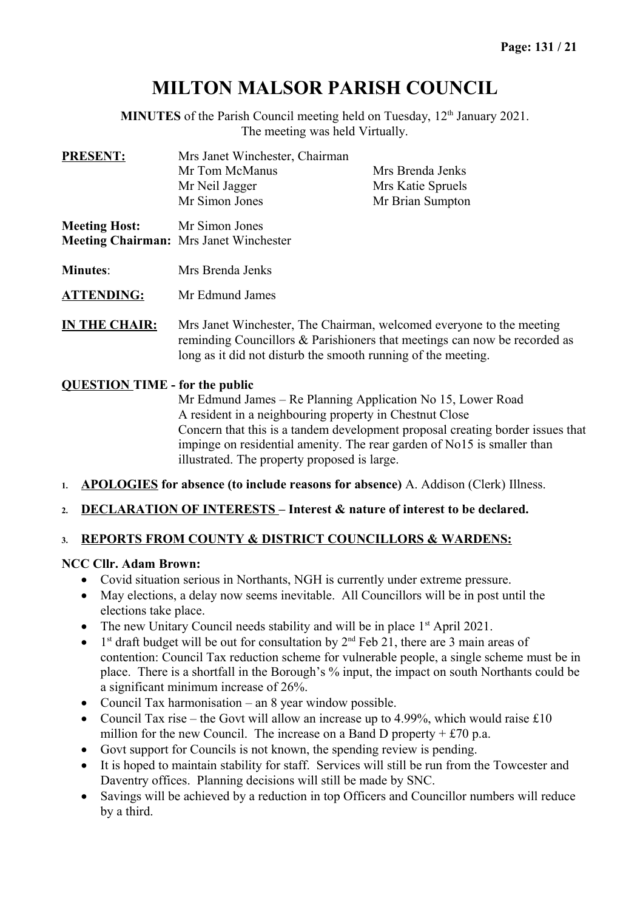# **MILTON MALSOR PARISH COUNCIL**

**MINUTES** of the Parish Council meeting held on Tuesday, 12<sup>th</sup> January 2021. The meeting was held Virtually.

| <b>PRESENT:</b>      | Mrs Janet Winchester, Chairman<br>Mr Tom McManus<br>Mr Neil Jagger<br>Mr Simon Jones | Mrs Brenda Jenks<br>Mrs Katie Spruels<br>Mr Brian Sumpton |
|----------------------|--------------------------------------------------------------------------------------|-----------------------------------------------------------|
| <b>Meeting Host:</b> | Mr Simon Jones<br><b>Meeting Chairman:</b> Mrs Janet Winchester                      |                                                           |
| <b>Minutes:</b>      | Mrs Brenda Jenks                                                                     |                                                           |
| <b>ATTENDING:</b>    | Mr Edmund James                                                                      |                                                           |

**IN THE CHAIR:** Mrs Janet Winchester, The Chairman, welcomed everyone to the meeting reminding Councillors & Parishioners that meetings can now be recorded as long as it did not disturb the smooth running of the meeting.

### **QUESTION TIME - for the public**

Mr Edmund James – Re Planning Application No 15, Lower Road A resident in a neighbouring property in Chestnut Close Concern that this is a tandem development proposal creating border issues that impinge on residential amenity. The rear garden of No15 is smaller than illustrated. The property proposed is large.

- **1. APOLOGIES for absence (to include reasons for absence)** A. Addison (Clerk) Illness.
- **2. DECLARATION OF INTERESTS Interest & nature of interest to be declared.**

### **3. REPORTS FROM COUNTY & DISTRICT COUNCILLORS & WARDENS:**

### **NCC Cllr. Adam Brown:**

- Covid situation serious in Northants, NGH is currently under extreme pressure.
- May elections, a delay now seems inevitable. All Councillors will be in post until the elections take place.
- The new Unitary Council needs stability and will be in place  $1<sup>st</sup>$  April 2021.
- $\bullet$  $1<sup>st</sup>$  draft budget will be out for consultation by  $2<sup>nd</sup>$  Feb 21, there are 3 main areas of contention: Council Tax reduction scheme for vulnerable people, a single scheme must be in place. There is a shortfall in the Borough's % input, the impact on south Northants could be a significant minimum increase of 26%.
- Council Tax harmonisation an 8 year window possible.
- Council Tax rise the Govt will allow an increase up to 4.99%, which would raise  $\pounds 10$ million for the new Council. The increase on a Band D property  $+ £70$  p.a.
- Govt support for Councils is not known, the spending review is pending.
- It is hoped to maintain stability for staff. Services will still be run from the Towcester and Daventry offices. Planning decisions will still be made by SNC.
- Savings will be achieved by a reduction in top Officers and Councillor numbers will reduce by a third.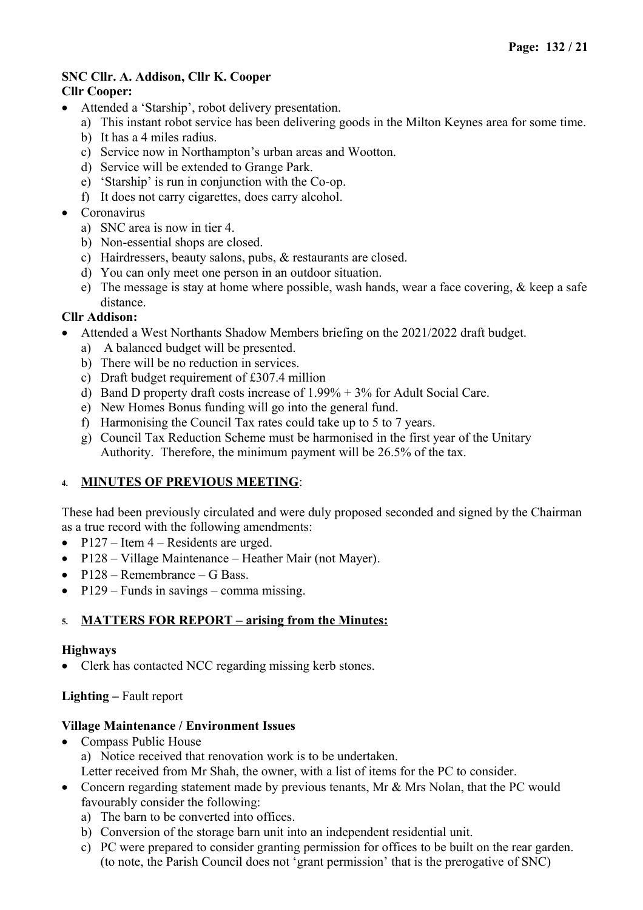#### **SNC Cllr. A. Addison, Cllr K. Cooper Cllr Cooper:**

- Attended a 'Starship', robot delivery presentation.
	- a) This instant robot service has been delivering goods in the Milton Keynes area for some time.
	- b) It has a 4 miles radius.
	- c) Service now in Northampton's urban areas and Wootton.
	- d) Service will be extended to Grange Park.
	- e) 'Starship' is run in conjunction with the Co-op.
	- f) It does not carry cigarettes, does carry alcohol.
- Coronavirus
	- a) SNC area is now in tier 4.
	- b) Non-essential shops are closed.
	- c) Hairdressers, beauty salons, pubs, & restaurants are closed.
	- d) You can only meet one person in an outdoor situation.
	- e) The message is stay at home where possible, wash hands, wear a face covering,  $\&$  keep a safe distance.

# **Cllr Addison:**

- Attended a West Northants Shadow Members briefing on the 2021/2022 draft budget.
	- a) A balanced budget will be presented.
	- b) There will be no reduction in services.
	- c) Draft budget requirement of £307.4 million
	- d) Band D property draft costs increase of 1.99% + 3% for Adult Social Care.
	- e) New Homes Bonus funding will go into the general fund.
	- f) Harmonising the Council Tax rates could take up to 5 to 7 years.
	- g) Council Tax Reduction Scheme must be harmonised in the first year of the Unitary Authority. Therefore, the minimum payment will be 26.5% of the tax.

### **4. MINUTES OF PREVIOUS MEETING**:

These had been previously circulated and were duly proposed seconded and signed by the Chairman as a true record with the following amendments:

- P127 Item  $4$  Residents are urged.
- P128 Village Maintenance Heather Mair (not Mayer).
- $\bullet$  P128 Remembrance G Bass.
- $P129$  Funds in savings comma missing.

### **5. MATTERS FOR REPORT – arising from the Minutes:**

### **Highways**

• Clerk has contacted NCC regarding missing kerb stones.

### **Lighting –** Fault report

### **Village Maintenance / Environment Issues**

- Compass Public House a) Notice received that renovation work is to be undertaken. Letter received from Mr Shah, the owner, with a list of items for the PC to consider.
- Concern regarding statement made by previous tenants, Mr & Mrs Nolan, that the PC would favourably consider the following:
	- a) The barn to be converted into offices.
	- b) Conversion of the storage barn unit into an independent residential unit.
	- c) PC were prepared to consider granting permission for offices to be built on the rear garden. (to note, the Parish Council does not 'grant permission' that is the prerogative of SNC)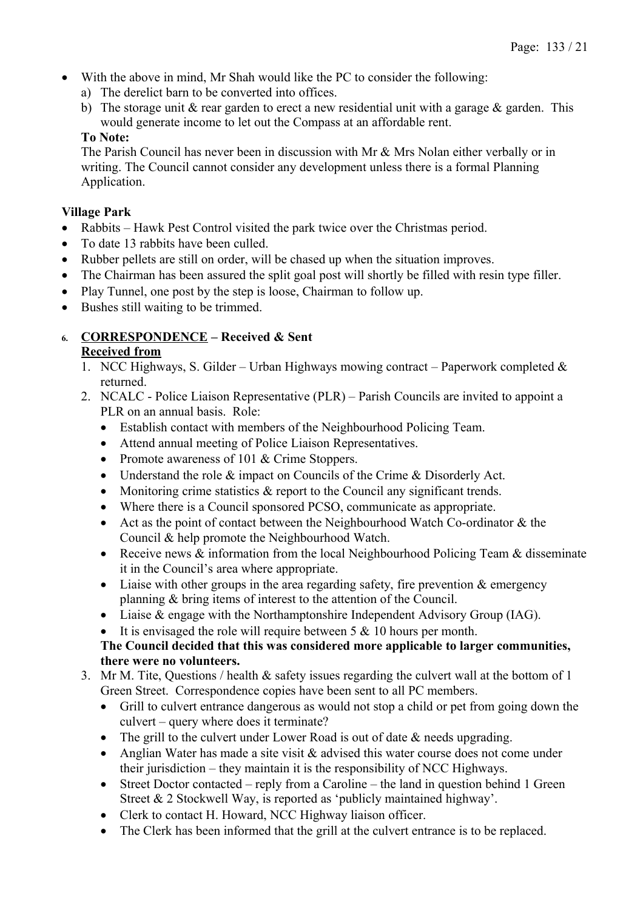- With the above in mind, Mr Shah would like the PC to consider the following:
	- a) The derelict barn to be converted into offices.
	- b) The storage unit  $\&$  rear garden to erect a new residential unit with a garage  $\&$  garden. This would generate income to let out the Compass at an affordable rent.

### **To Note:**

The Parish Council has never been in discussion with Mr & Mrs Nolan either verbally or in writing. The Council cannot consider any development unless there is a formal Planning Application.

### **Village Park**

- Rabbits Hawk Pest Control visited the park twice over the Christmas period.
- To date 13 rabbits have been culled.
- Rubber pellets are still on order, will be chased up when the situation improves.
- The Chairman has been assured the split goal post will shortly be filled with resin type filler.
- Play Tunnel, one post by the step is loose, Chairman to follow up.
- Bushes still waiting to be trimmed.

# **6. CORRESPONDENCE – Received & Sent**

### **Received from**

- 1. NCC Highways, S. Gilder Urban Highways mowing contract Paperwork completed  $\&$ returned.
- 2. NCALC Police Liaison Representative (PLR) Parish Councils are invited to appoint a PLR on an annual basis. Role:
	- Establish contact with members of the Neighbourhood Policing Team.
	- Attend annual meeting of Police Liaison Representatives.
	- Promote awareness of 101 & Crime Stoppers.
	- Understand the role & impact on Councils of the Crime & Disorderly Act.
	- Monitoring crime statistics & report to the Council any significant trends.
	- Where there is a Council sponsored PCSO, communicate as appropriate.
	- Act as the point of contact between the Neighbourhood Watch Co-ordinator & the Council & help promote the Neighbourhood Watch.
	- Receive news  $\&$  information from the local Neighbourhood Policing Team  $\&$  disseminate it in the Council's area where appropriate.
	- $\bullet$  Liaise with other groups in the area regarding safety, fire prevention & emergency planning & bring items of interest to the attention of the Council.
	- Liaise & engage with the Northamptonshire Independent Advisory Group (IAG).
	- It is envisaged the role will require between 5 & 10 hours per month.

### **The Council decided that this was considered more applicable to larger communities, there were no volunteers.**

- 3. Mr M. Tite, Questions / health & safety issues regarding the culvert wall at the bottom of 1 Green Street. Correspondence copies have been sent to all PC members.
	- Grill to culvert entrance dangerous as would not stop a child or pet from going down the culvert – query where does it terminate?
	- The grill to the culvert under Lower Road is out of date & needs upgrading.
	- Anglian Water has made a site visit & advised this water course does not come under their jurisdiction – they maintain it is the responsibility of NCC Highways.
	- Street Doctor contacted reply from a Caroline the land in question behind 1 Green Street & 2 Stockwell Way, is reported as 'publicly maintained highway'.
	- Clerk to contact H. Howard, NCC Highway liaison officer.
	- The Clerk has been informed that the grill at the culvert entrance is to be replaced.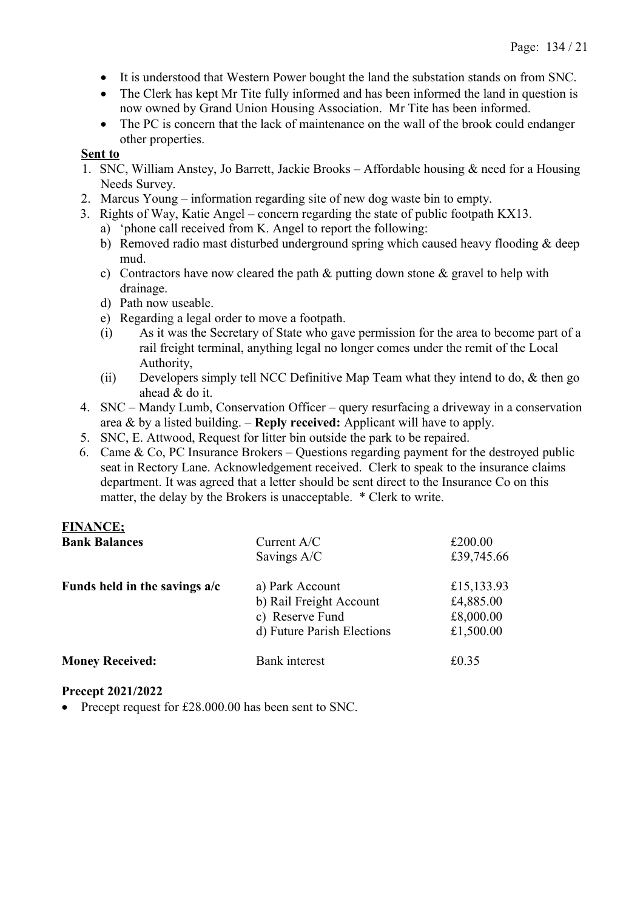- It is understood that Western Power bought the land the substation stands on from SNC.
- The Clerk has kept Mr Tite fully informed and has been informed the land in question is now owned by Grand Union Housing Association. Mr Tite has been informed.
- The PC is concern that the lack of maintenance on the wall of the brook could endanger other properties.

### **Sent to**

- 1. SNC, William Anstey, Jo Barrett, Jackie Brooks Affordable housing & need for a Housing Needs Survey.
- 2. Marcus Young information regarding site of new dog waste bin to empty.
- 3. Rights of Way, Katie Angel concern regarding the state of public footpath KX13.
	- a) 'phone call received from K. Angel to report the following:
	- b) Removed radio mast disturbed underground spring which caused heavy flooding & deep mud.
	- c) Contractors have now cleared the path & putting down stone & gravel to help with drainage.
	- d) Path now useable.
	- e) Regarding a legal order to move a footpath.
	- (i) As it was the Secretary of State who gave permission for the area to become part of a rail freight terminal, anything legal no longer comes under the remit of the Local Authority,
	- (ii) Developers simply tell NCC Definitive Map Team what they intend to do, & then go ahead & do it.
- 4. SNC Mandy Lumb, Conservation Officer query resurfacing a driveway in a conservation area & by a listed building. – **Reply received:** Applicant will have to apply.
- 5. SNC, E. Attwood, Request for litter bin outside the park to be repaired.
- 6. Came & Co, PC Insurance Brokers Questions regarding payment for the destroyed public seat in Rectory Lane. Acknowledgement received. Clerk to speak to the insurance claims department. It was agreed that a letter should be sent direct to the Insurance Co on this matter, the delay by the Brokers is unacceptable. \* Clerk to write.

# **FINANCE;**

| <b>Bank Balances</b>            | Current A/C                | £200.00    |  |
|---------------------------------|----------------------------|------------|--|
|                                 | Savings A/C                | £39,745.66 |  |
| Funds held in the savings $a/c$ | a) Park Account            | £15,133.93 |  |
|                                 | b) Rail Freight Account    | £4,885.00  |  |
|                                 | c) Reserve Fund            | £8,000.00  |  |
|                                 | d) Future Parish Elections | £1,500.00  |  |
| <b>Money Received:</b>          | Bank interest              | £0.35      |  |

### **Precept 2021/2022**

• Precept request for £28.000.00 has been sent to SNC.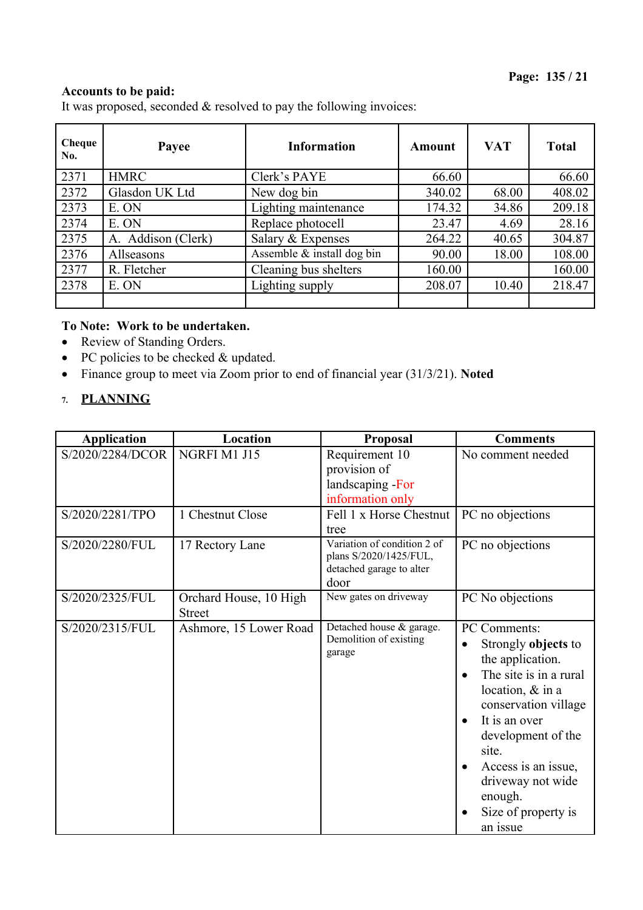### **Accounts to be paid:**

It was proposed, seconded & resolved to pay the following invoices:

| Cheque<br>No. | Payee              | <b>Information</b>         | Amount | <b>VAT</b> | <b>Total</b> |
|---------------|--------------------|----------------------------|--------|------------|--------------|
| 2371          | <b>HMRC</b>        | Clerk's PAYE               | 66.60  |            | 66.60        |
| 2372          | Glasdon UK Ltd     | New dog bin                | 340.02 | 68.00      | 408.02       |
| 2373          | E. ON              | Lighting maintenance       | 174.32 | 34.86      | 209.18       |
| 2374          | E. ON              | Replace photocell          | 23.47  | 4.69       | 28.16        |
| 2375          | A. Addison (Clerk) | Salary & Expenses          | 264.22 | 40.65      | 304.87       |
| 2376          | Allseasons         | Assemble & install dog bin | 90.00  | 18.00      | 108.00       |
| 2377          | R. Fletcher        | Cleaning bus shelters      | 160.00 |            | 160.00       |
| 2378          | E. ON              | Lighting supply            | 208.07 | 10.40      | 218.47       |
|               |                    |                            |        |            |              |

# **To Note: Work to be undertaken.**

- Review of Standing Orders.
- PC policies to be checked & updated.
- Finance group to meet via Zoom prior to end of financial year (31/3/21). **Noted**
- **7. PLANNING**

| <b>Application</b> | Location                                | Proposal                                                                                  | <b>Comments</b>                                                                                                                                                                                                                                                         |
|--------------------|-----------------------------------------|-------------------------------------------------------------------------------------------|-------------------------------------------------------------------------------------------------------------------------------------------------------------------------------------------------------------------------------------------------------------------------|
| S/2020/2284/DCOR   | NGRFI M1 J15                            | Requirement 10<br>provision of<br>landscaping - For<br>information only                   | No comment needed                                                                                                                                                                                                                                                       |
| S/2020/2281/TPO    | 1 Chestnut Close                        | Fell 1 x Horse Chestnut<br>tree                                                           | PC no objections                                                                                                                                                                                                                                                        |
| S/2020/2280/FUL    | 17 Rectory Lane                         | Variation of condition 2 of<br>plans S/2020/1425/FUL,<br>detached garage to alter<br>door | PC no objections                                                                                                                                                                                                                                                        |
| S/2020/2325/FUL    | Orchard House, 10 High<br><b>Street</b> | New gates on driveway                                                                     | PC No objections                                                                                                                                                                                                                                                        |
| S/2020/2315/FUL    | Ashmore, 15 Lower Road                  | Detached house & garage.<br>Demolition of existing<br>garage                              | PC Comments:<br>Strongly objects to<br>the application.<br>The site is in a rural<br>location, & in a<br>conservation village<br>It is an over<br>development of the<br>site.<br>Access is an issue,<br>driveway not wide<br>enough.<br>Size of property is<br>an issue |